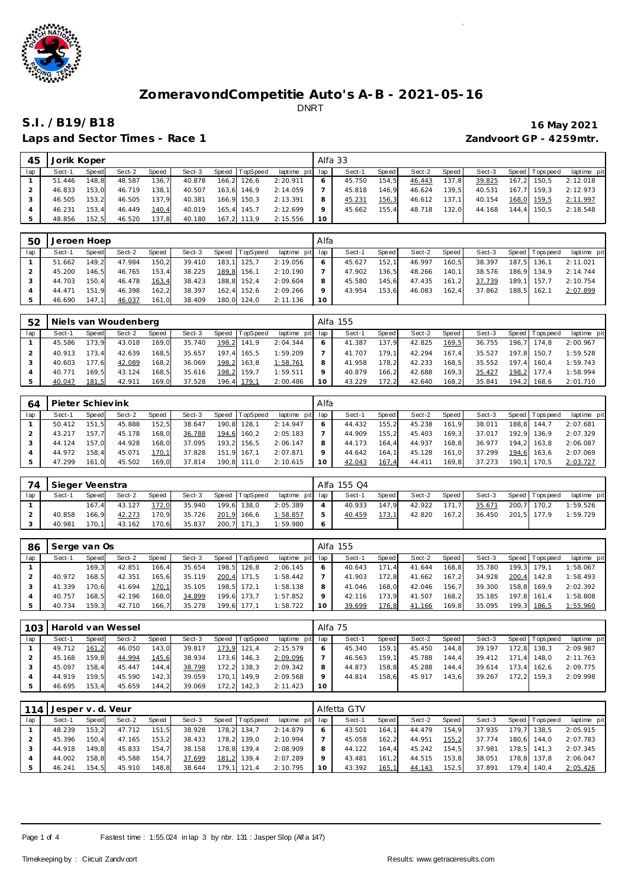

Laps and Sector Times - Race 1 *Zandvoort GP - 4259mtr.* 

## **S.I. /B19/B18 16 May 2021**

| 45  | Jorik Koper |       |        |       |        |       |                |                 |    | Alfa 33 |         |        |         |        |                 |             |
|-----|-------------|-------|--------|-------|--------|-------|----------------|-----------------|----|---------|---------|--------|---------|--------|-----------------|-------------|
| lap | Sect-1      | Speed | Sect-2 | Speed | Sect-3 |       | Speed TopSpeed | laptime pit lap |    | Sect-1  | Speed I | Sect-2 | Speed I | Sect-3 | Speed Tops peed | laptime pit |
|     | 51.446      | 148.8 | 48.587 | 136.7 | 40.878 |       | 166,2 126,6    | 2:20.911        | 6  | 45.750  | 154.5   | 46.443 | 137,8   | 39.825 | 167,2 150,5     | 2:12.018    |
|     | 46.833      | 153.0 | 46.719 | 138.1 | 40.507 | 163.6 | 146.9          | 2:14.059        |    | 45.818  | 146.9   | 46.624 | 139.5   | 40.531 | 167.7 159.3     | 2:12.973    |
|     | 46.505      | 153.2 | 46.505 | 137.9 | 40.381 |       | 166.9 150.3    | 2:13.391        |    | 45.231  | 156,3   | 46.612 | 137.1   | 40.154 | 168,0 159,5     | 2:11.997    |
|     | 46.231      | 153.4 | 46.449 | 140,4 | 40.019 |       | 165.4 145.7    | 2:12.699        |    | 45.662  | 155.4   | 48.718 | 132.0   | 44.168 | 144.4 150.5     | 2:18.548    |
|     | 48.856      | 152.5 | 46.520 | 137,8 | 40.180 |       | 167,2 113,9    | 2:15.556        | 10 |         |         |        |         |        |                 |             |

| 50  | Jeroen Hoep |       |        |       |        |       |                |                 | Alfa    |        |         |        |       |        |             |                 |             |
|-----|-------------|-------|--------|-------|--------|-------|----------------|-----------------|---------|--------|---------|--------|-------|--------|-------------|-----------------|-------------|
| lap | Sect-1      | Speed | Sect-2 | Speed | Sect-3 |       | Speed TopSpeed | laptime pit lap |         | Sect-1 | Speed I | Sect-2 | Speed | Sect-3 |             | Speed Tops peed | laptime pit |
|     | 51.662      | 149.2 | 47.984 | 150.2 | 39.410 | 183.1 | 125.7          | 2:19.056        | $\circ$ | 45.627 | 152.1   | 46.997 | 160.5 | 38.397 |             | 187.5 136.1     | 2:11.021    |
|     | 45.200      | 146.5 | 46.765 | 153.4 | 38.225 |       | 189,8 156,1    | 2:10.190        |         | 47.902 | 136.5   | 48.266 | 140.1 | 38.576 |             | 186.9 134.9     | 2:14.744    |
|     | 44.703      | 150.4 | 46.478 | 163,4 | 38.423 |       | 188,8 152,4    | 2:09.604        |         | 45.580 | 145.6   | 47.435 | 161.2 | 37.739 |             | 189.1 157.7     | 2:10.754    |
|     | 44.471      | 151.9 | 46.398 | 162.2 | 38.397 |       | 162.4 152.6    | 2:09.266        | 9       | 43.954 | 153.6   | 46.083 | 162.4 | 37.862 | 188.5 162.1 |                 | 2:07.899    |
|     | 46.690      | 147.1 | 46.037 | 161,0 | 38.409 |       | 180,0 124,0    | 2:11.136        | 10      |        |         |        |       |        |             |                 |             |

| 52  |        |       | Niels van Woudenberg |       |        |       |                |                 |         | Alfa 155 |       |        |        |        |                   |             |
|-----|--------|-------|----------------------|-------|--------|-------|----------------|-----------------|---------|----------|-------|--------|--------|--------|-------------------|-------------|
| lap | Sect-1 | Speed | Sect-2               | Speed | Sect-3 |       | Speed TopSpeed | laptime pit lap |         | Sect-1   | Speed | Sect-2 | Speed  | Sect-3 | Speed   Tops peed | laptime pit |
|     | 45.586 | 173.9 | 43.018               | 169.0 | 35.740 |       | 198,2 141,9    | 2:04.344        |         | 41.387   | 137.9 | 42.825 | 169,5  | 36.755 | 196.7 174.8       | 2:00.967    |
|     | 40.913 | 173.4 | 42.639               | 168,5 | 35.657 | 197.4 | 165.5          | 1:59.209        |         | 41.707   | 179.1 | 42.294 | 167.41 | 35.527 | 197.8 150.7       | 1:59.528    |
|     | 40.603 | 177.6 | 42.089               | 168,2 | 36.069 |       | 198,2 163,8    | 1:58.761        | 8       | 41.958   | 178.2 | 42.233 | 168.5  | 35.552 | 197.4 160.4       | 1:59.743    |
|     | 40.771 | 169.5 | 43.124               | 168,5 | 35.616 |       | 198,2 159,7    | 1:59.511        | $\circ$ | 40.879   | 166.2 | 42.688 | 169.3  | 35.427 | 198,2 177,4       | 1:58.994    |
|     | 40.047 | 181.5 | 42.911               | 169.0 | 37.528 |       | 196,4 179,1    | 2:00.486        | 10      | 43.229   | 172.2 | 42.640 | 168.2  | 35.841 | 194.2 168.6       | 2:01.710    |

| 64  | Pieter Schievink |       |        |       |        |       |          |                 | Alfa |        |              |        |        |        |       |             |             |
|-----|------------------|-------|--------|-------|--------|-------|----------|-----------------|------|--------|--------------|--------|--------|--------|-------|-------------|-------------|
| lap | Sect-1           | Speed | Sect-2 | Speed | Sect-3 | Speed | TopSpeed | laptime pit lap |      | Sect-1 | <b>Speed</b> | Sect-2 | Speed  | Sect-3 | Speed | Tops peed   | laptime pit |
|     | 50.412           | 151.5 | 45.888 | 152.5 | 38.647 | 190.8 | 128.1    | 2:14.947        |      | 44.432 | 155.2        | 45.238 | 161.9  | 38.011 | 188.8 | 144.7       | 2:07.681    |
|     | 43.217           | 157.7 | 45.178 | 168.0 | 36.788 | 194,6 | 160.2    | 2:05.183        |      | 44.909 | 155.2        | 45.403 | 169.31 | 37.017 | 192.9 | 136.9       | 2:07.329    |
|     | 44.124           | 157.0 | 44.928 | 168.0 | 37.095 | 193.2 | 156.5    | 2:06.147        |      | 44.173 | 164.4        | 44.937 | 168.8  | 36.977 |       | 194.2 163.8 | 2:06.087    |
|     | 44.972           | 158.4 | 45.071 | 170,1 | 37.828 | 151.9 | 167.1    | 2:07.871        |      | 44.642 | 164.1        | 45.128 | 161.0  | 37.299 | 194.6 | 163.6       | 2:07.069    |
|     | 47.299           | 161.0 | 45.502 | 169.0 | 37.814 | 190.8 | 111.0    | 2:10.615        | 10   | 42.043 | 167,4        | 44.411 | 169.8  | 37.273 | 190.1 | 170.5       | 2:03.727    |

| 74  | Sieger Veenstra |        |        |       |        |                |                 | Alfa 155 Q4 |       |        |       |        |                   |             |
|-----|-----------------|--------|--------|-------|--------|----------------|-----------------|-------------|-------|--------|-------|--------|-------------------|-------------|
| lap | Sect-1          | Speed  | Sect-2 | Speed | Sect-3 | Speed TopSpeed | laptime pit lap | Sect-1      | Speed | Sect-2 | Speed | Sect-3 | Speed   Tops peed | laptime pit |
|     |                 | 167.4  | 43.127 | 172.0 | 35.940 | 199,6 138,0    | 2:05.389        | 40.933      | 147.9 | 42.922 | 171.7 | 35.671 | 200,7 170,2       | 1:59.526    |
|     | 40.858          | 166.9  | 42.273 | 170.9 | 35.726 | 201,9 166,6    | 1:58.857        | 40.459      | 173,1 | 42.820 | 167.2 | 36.450 | 201.5 177.9       | 1:59.729    |
|     | 40.981          | 170.11 | 43.162 | 170,6 | 35.837 | 200, 7 171, 3  | 1:59.980        |             |       |        |       |        |                   |             |

| 86  | Serge van Os |              |        |       |        |                |             |     | Alfa 155 |       |        |       |        |       |                 |             |
|-----|--------------|--------------|--------|-------|--------|----------------|-------------|-----|----------|-------|--------|-------|--------|-------|-----------------|-------------|
| lap | Sect-1       | <b>Speed</b> | Sect-2 | Speed | Sect-3 | Speed TopSpeed | laptime pit | lap | Sect-1   | Speed | Sect-2 | Speed | Sect-3 |       | Speed Tops peed | laptime pit |
|     |              | 169.3        | 42.851 | 166.4 | 35.654 | 198,5 126,8    | 2:06.145    | 6   | 40.643   | 171.4 | 41.644 | 168,8 | 35.780 | 199.3 | 179.1           | 1:58.067    |
|     | 40.972       | 168.5        | 42.351 | 165,6 | 35.119 | 200,4 171,5    | 1:58.442    |     | 41.903   | 172.8 | 41.662 | 167.2 | 34.928 | 200,4 | 142.8           | 1:58.493    |
|     | 41.339       | 170.6        | 41.694 | 170,1 | 35.105 | 198.5 172.1    | 1:58.138    | 8   | 41.046   | 168.0 | 42.046 | 156.7 | 39.300 |       | 158.8 169.9     | 2:02.392    |
|     | 40.757       | 168.5        | 42.196 | 168,0 | 34.899 | 199.6 173.7    | 1:57.852    | 9   | 42.116   | 173.9 | 41.507 | 168,2 | 35.185 |       | 197.8 161.4     | 1:58.808    |
|     | 40.734       | 159.3        | 42.710 | 166,7 | 35.278 | 199,6 177,1    | 1:58.722    | 10  | 39.699   | 176,8 | 41.166 | 169,8 | 35.095 |       | 199,3 186,5     | 1:55.960    |

|     | 103 Harold van Wessel |       |        |       |        |                |                 | Alfa 75 |        |         |        |         |        |             |                 |             |
|-----|-----------------------|-------|--------|-------|--------|----------------|-----------------|---------|--------|---------|--------|---------|--------|-------------|-----------------|-------------|
| lap | Sect-1                | Speed | Sect-2 | Speed | Sect-3 | Speed TopSpeed | laptime pit lap |         | Sect-1 | Speed I | Sect-2 | Speed I | Sect-3 |             | Speed Tops peed | laptime pit |
|     | 49.712                | 161.2 | 46.050 | 143.0 | 39.817 | 173,9 121,4    | 2:15.579        |         | 45.340 | 159.1   | 45.450 | 144.8   | 39.197 |             | 172.8 138.3     | 2:09.987    |
|     | 45.168                | 159.8 | 44.994 | 145,6 | 38.934 | 173,6 146,3    | 2:09.096        |         | 46.563 | 159.1   | 45.788 | 144.4   | 39.412 | 171.4 148.0 |                 | 2:11.763    |
|     | 45.097                | 158.4 | 45.447 | 144.4 | 38.798 | 172,2 138,3    | 2:09.342        |         | 44.873 | 158.8   | 45.288 | 144.4   | 39.614 |             | 173.4 162.6     | 2:09.775    |
|     | 44.919                | 159.5 | 45.590 | 142.3 | 39.059 | 170.1 149.9    | 2:09.568        | $\circ$ | 44.814 | 158.6   | 45.917 | 143.6   | 39.267 | 172.2 159.3 |                 | 2:09.998    |
|     | 46.695                | 153.4 | 45.659 | 144,2 | 39.069 | 172,2 142,3    | 2:11.423        | 10      |        |         |        |         |        |             |                 |             |

| 114 | Jesper v. d. Veur |       |        |       |        |       |                |             |     | Alfetta GTV |       |        |       |        |       |             |             |
|-----|-------------------|-------|--------|-------|--------|-------|----------------|-------------|-----|-------------|-------|--------|-------|--------|-------|-------------|-------------|
| lap | Sect-1            | Speed | Sect-2 | Speed | Sect-3 |       | Speed TopSpeed | laptime pit | lap | Sect-1      | Speed | Sect-2 | Speed | Sect-3 | Speed | Topspeed    | laptime pit |
|     | 48.239            | 153.2 | 47.712 | 151,5 | 38.928 | 178.2 | 134.7          | 2:14.879    | 6   | 43.501      | 164.1 | 44.479 | 154.9 | 37.935 | 179.7 | 138.5       | 2:05.915    |
|     | 45.396            | 150.4 | 47.165 | 153.2 | 38.433 |       | 178.2 139.0    | 2:10.994    |     | 45.058      | 162.2 | 44.951 | 155.2 | 37.774 | 180.6 | 144.0       | 2:07.783    |
|     | 44.918            | 149.8 | 45.833 | 154.7 | 38.158 |       | 178.8 139.4    | 2:08.909    | 8   | 44.122      | 164.4 | 45.242 | 154.5 | 37.981 |       | 178.5 141.3 | 2:07.345    |
|     | 44.002            | 158.8 | 45.588 | 154.7 | 37.699 |       | 181,2 139,4    | 2:07.289    | Q   | 43.481      | 161.2 | 44.515 | 153.8 | 38.051 |       | 178.8 137.8 | 2:06.047    |
|     | 46.241            | 154.5 | 45.910 | 148,8 | 38.644 | 179.1 | 121.4          | 2:10.795    | 10  | 43.392      | 165,1 | 44.143 | 152.5 | 37.891 | 179.4 | 140.4       | 2:05.426    |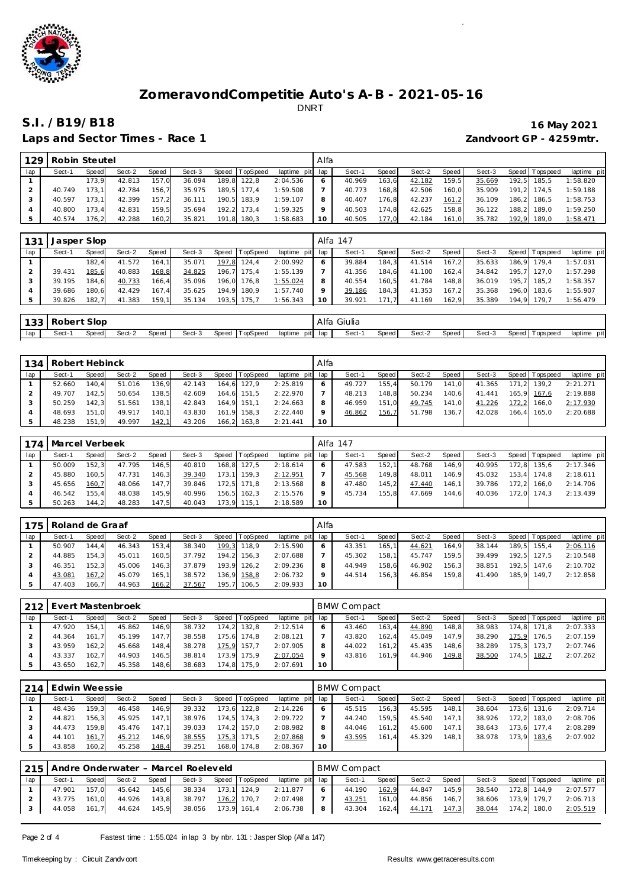

Laps and Sector Times - Race 1 *Zandvoort GP - 4259mtr.* 

# **S.I. /B19/B18 16 May 2021**

| 129 | Robin Steutel |        |        |       |        |       |                |                 | Alfa |        |       |        |       |        |                 |             |
|-----|---------------|--------|--------|-------|--------|-------|----------------|-----------------|------|--------|-------|--------|-------|--------|-----------------|-------------|
| lap | Sect-1        | Speed  | Sect-2 | Speed | Sect-3 |       | Speed TopSpeed | laptime pit lap |      | Sect-1 | Speed | Sect-2 | Speed | Sect-3 | Speed Tops peed | laptime pit |
|     |               | 173.9  | 42.813 | 157.0 | 36.094 | 189.8 | 122.8          | 2:04.536        |      | 40.969 | 163.6 | 42.182 | 159.5 | 35.669 | 192.5 185.5     | 1:58.820    |
|     | 40.749        | 173.1  | 42.784 | 156.7 | 35.975 | 189.5 | 177.4          | 1:59.508        |      | 40.773 | 168.8 | 42.506 | 160.0 | 35.909 | 191.2 174.5     | 1:59.188    |
|     | 40.597        | 173.11 | 42.399 | 157.2 | 36.111 | 190.5 | 183.9          | 1:59.107        |      | 40.407 | 176.8 | 42.237 | 161.2 | 36.109 | 186.2 186.5     | 1:58.753    |
|     | 40.800        | 173.4  | 42.831 | 159.5 | 35.694 | 192.2 | 173.4          | 1:59.325        |      | 40.503 | 174.8 | 42.625 | 158.8 | 36.122 | 188.2 189.0     | 1:59.250    |
|     | 40.574        | 176.2  | 42.288 | 160.2 | 35.821 | 191.8 | 180.3          | 1:58.683        | 10   | 40.505 | 177.0 | 42.184 | 161.0 | 35.782 | 192,9 189,0     | 1:58.471    |

| 131 | Jasper Slop |       |        |       |        |                |                 |    | Alfa 147 |       |        |       |        |                   |             |
|-----|-------------|-------|--------|-------|--------|----------------|-----------------|----|----------|-------|--------|-------|--------|-------------------|-------------|
| lap | Sect-1      | Speed | Sect-2 | Speed | Sect-3 | Speed TopSpeed | laptime pit lap |    | Sect-1   | Speed | Sect-2 | Speed | Sect-3 | Speed   Tops peed | laptime pit |
|     |             | 182.4 | 41.572 | 164.1 | 35.071 | 197.8 124.4    | 2:00.992        | 6  | 39.884   | 184.3 | 41.514 | 167.2 | 35.633 | 186.9 179.4       | 1:57.031    |
|     | 39.431      | 185.6 | 40.883 | 168,8 | 34.825 | 196,7 175,4    | 1:55.139        |    | 41.356   | 184.6 | 41.100 | 162.4 | 34.842 | 195,7 127,0       | 1:57.298    |
|     | 39.195      | 184.6 | 40.733 | 166.4 | 35.096 | 196,0 176,8    | 1:55.024        | 8  | 40.554   | 160.5 | 41.784 | 148.8 | 36.019 | 195.7 185.2       | 1:58.357    |
|     | 39.686      | 180.6 | 42.429 | 167.4 | 35.625 | 194.9 180.9    | 1:57.740        | 9  | 39.186   | 184.3 | 41.353 | 167.2 | 35.368 | 196.0 183.6       | 1:55.907    |
|     | 39.826      | 182.7 | 41.383 | 159,1 | 35.134 | 193.5 175.7    | 1:56.343        | 10 | 39.921   | 171.7 | 41.169 | 162.9 | 35.389 | 194.9 179.7       | 1:56.479    |

| 10 <sup>2</sup><br>. |       | Slop   |        |       |        |       |                                  |                 | Alfa | $\sim$<br>Giulia |       |        |       |        |       |           |                 |
|----------------------|-------|--------|--------|-------|--------|-------|----------------------------------|-----------------|------|------------------|-------|--------|-------|--------|-------|-----------|-----------------|
| lap                  | Sect- | Speedl | Sect-2 | Speed | Sect-3 | Speed | $\tau$ op $\operatorname{Speed}$ | laptime<br>pitl | lap  | Sect-            | Speed | Sect-2 | Speed | Sect-3 | Speed | Tops peed | laptime<br>pitl |

| 134 | Robert Hebinck |       |        |       |        |       |          |                 | Alfa    |        |       |        |       |        |       |                 |             |
|-----|----------------|-------|--------|-------|--------|-------|----------|-----------------|---------|--------|-------|--------|-------|--------|-------|-----------------|-------------|
| lap | Sect-1         | Speed | Sect-2 | Speed | Sect-3 | Speed | TopSpeed | laptime pit lap |         | Sect-1 | Speed | Sect-2 | Speed | Sect-3 |       | Speed Tops peed | laptime pit |
|     | 52.660         | 140.4 | 51.016 | 136.9 | 42.143 | 164.6 | 127.9    | 2:25.819        | $\circ$ | 49.727 | 155.4 | 50.179 | 141.0 | 41.365 |       | 171.2 139.2     | 2:21.271    |
|     | 49.707         | 142.5 | 50.654 | 138,5 | 42.609 | 164.6 | 151.5    | 2:22.970        |         | 48.213 | 148.8 | 50.234 | 140,6 | 41.441 |       | 165.9 167.6     | 2:19.888    |
|     | 50.259         | 142.3 | 51.561 | 138,1 | 42.843 | 164.9 | 151.1    | 2:24.663        | 8       | 46.959 | 151.0 | 49.745 | 141,0 | 41.226 | 172.2 | 166.0           | 2:17.930    |
|     | 48.693         | 151.0 | 49.917 | 140.1 | 43.830 | 161.9 | 158.3    | 2:22.440        | $\circ$ | 46.862 | 156,7 | 51.798 | 136.7 | 42.028 |       | 166.4 165.0     | 2:20.688    |
|     | 48.238         | 151.9 | 49.997 | 142,1 | 43.206 | 166.2 | 163.8    | 2:21.441        | 10      |        |       |        |       |        |       |                 |             |

|     | 174   Marcel Verbeek |       |        |       |        |                |                 |              | Alfa 147 |         |        |       |        |                   |             |
|-----|----------------------|-------|--------|-------|--------|----------------|-----------------|--------------|----------|---------|--------|-------|--------|-------------------|-------------|
| lap | Sect-1               | Speed | Sect-2 | Speed | Sect-3 | Speed TopSpeed | laptime pit lap |              | Sect-1   | Speed I | Sect-2 | Speed | Sect-3 | Speed   Tops peed | laptime pit |
|     | 50.009               | 152.3 | 47.795 | 146.5 | 40.810 | 168.8 127.5    | 2:18.614        | <sup>6</sup> | 47.583   | 152.1   | 48.768 | 146.9 | 40.995 | 172.8 135.6       | 2:17.346    |
|     | 45.880               | 160.5 | 47.731 | 146.3 | 39.340 | 173,1 159,3    | 2:12.951        |              | 45.568   | 149.8   | 48.011 | 146.9 | 45.032 | 153.4 174.8       | 2:18.611    |
|     | 45.656               | 160.7 | 48.066 | 147.7 | 39.846 | 172.5 171.8    | 2:13.568        | 8            | 47.480   | 145.2   | 47.440 | 146.1 | 39.786 | 172.2 166.0       | 2:14.706    |
|     | 46.542               | 155.4 | 48.038 | 145.9 | 40.996 | 156.5 162.3    | 2:15.576        | $\circ$      | 45.734   | 155.8   | 47.669 | 144.6 | 40.036 | 172.0 174.3       | 2:13.439    |
|     | 50.263               | 144.2 | 48.283 | 147.5 | 40.043 | 173.9 115.1    | 2:18.589        | 10           |          |         |        |       |        |                   |             |

| 175 | Roland de Graaf |       |        |       |        |       |             |                 | Alfa |        |         |        |       |        |                   |             |
|-----|-----------------|-------|--------|-------|--------|-------|-------------|-----------------|------|--------|---------|--------|-------|--------|-------------------|-------------|
| lap | Sect-1          | Speed | Sect-2 | Speed | Sect-3 | Speed | TopSpeed    | laptime pit lap |      | Sect-1 | Speed I | Sect-2 | Speed | Sect-3 | Speed   Tops peed | laptime pit |
|     | 50.907          | 144.4 | 46.343 | 153.4 | 38.340 | 199,3 | 118.9       | 2:15.590        | 6    | 43.351 | 165.1   | 44.621 | 164.9 | 38.144 | 189.5 155.4       | 2:06.116    |
|     | 44.885          | 154.3 | 45.011 | 160,5 | 37.792 |       | 194,2 156,3 | 2:07.688        |      | 45.302 | 158.1   | 45.747 | 159.5 | 39.499 | 192.5 127.5       | 2:10.548    |
|     | 46.351          | 152.3 | 45.006 | 146.3 | 37.879 |       | 193.9 126.2 | 2:09.236        | 8    | 44.949 | 158.6   | 46.902 | 156.3 | 38.851 | 192.5 147.6       | 2:10.702    |
|     | 43.081          | 167,2 | 45.079 | 165.1 | 38.572 | 136,9 | 158,8       | 2:06.732        |      | 44.514 | 156.3   | 46.854 | 159.8 | 41.490 | 185.9 149.7       | 2:12.858    |
|     | 47.403          | 166.7 | 44.963 | 166,2 | 37.567 | 195.7 | 106.5       | 2:09.933        | 10   |        |         |        |       |        |                   |             |

|     | 212 Evert Mastenbroek |       |        |       |        |                |                 |         | BMW Compact |       |        |         |        |                 |             |
|-----|-----------------------|-------|--------|-------|--------|----------------|-----------------|---------|-------------|-------|--------|---------|--------|-----------------|-------------|
| lap | Sect-1                | Speed | Sect-2 | Speed | Sect-3 | Speed TopSpeed | laptime pit lap |         | Sect-1      | Speed | Sect-2 | Speed I | Sect-3 | Speed Tops peed | laptime pit |
|     | 47.920                | 154.1 | 45.862 | 146.9 | 38.732 | 174.2 132.8    | 2:12.514        | 6       | 43.460      | 163.4 | 44.890 | 148,8   | 38.983 | 174.8 171.8     | 2:07.333    |
|     | 44.364                | 161.7 | 45.199 | 147.7 | 38.558 | 175.6 174.8    | 2:08.121        |         | 43.820      | 162.4 | 45.049 | 147.9   | 38.290 | 175,9 176,5     | 2:07.159    |
|     | 43.959                | 162.2 | 45.668 | 148.4 | 38.278 | 175,9 157,7    | 2:07.905        | 8       | 44.022      | 161.2 | 45.435 | 148.6   | 38.289 | 175.3 173.7     | 2:07.746    |
|     | 43.337                | 162.7 | 44.903 | 146.5 | 38.814 | 173.9 175.9    | 2:07.054        | $\circ$ | 43.816      | 161.9 | 44.946 | 149.8   | 38.500 | 174,5 182,7     | 2:07.262    |
|     | 43.650                | 162.7 | 45.358 | 148,6 | 38.683 | 174,8 175,9    | 2:07.691        | 10      |             |       |        |         |        |                 |             |

| 214 | . Edwin Weessie |       |        |       |        |       |                |             |     | <b>BMW Compact</b> |       |        |       |        |                 |             |
|-----|-----------------|-------|--------|-------|--------|-------|----------------|-------------|-----|--------------------|-------|--------|-------|--------|-----------------|-------------|
| lap | Sect-1          | Speed | Sect-2 | Speed | Sect-3 |       | Speed TopSpeed | laptime pit | lap | Sect-1             | Speed | Sect-2 | Speed | Sect-3 | Speed Tops peed | laptime pit |
|     | 48.436          | 159.3 | 46.458 | 146.9 | 39.332 | 173.6 | 122.8          | 2:14.226    | 6   | 45.515             | 156.3 | 45.595 | 148.1 | 38.604 | 173.6 131.6     | 2:09.714    |
|     | 44.821          | 156.3 | 45.925 | 147.1 | 38.976 |       | 174.5 174.3    | 2:09.722    |     | 44.240             | 159.5 | 45.540 | 147.1 | 38.926 | 172.2 183.0     | 2:08.706    |
|     | 44.473          | 159.8 | 45.476 | 147.1 | 39.033 |       | 174.2 157.0    | 2:08.982    | 8   | 44.046             | 161.2 | 45.600 | 147.1 | 38.643 | 173.6 177.4     | 2:08.289    |
|     | 44.101          | 161,7 | 45.212 | 146,9 | 38.555 | 175,3 | 171.5          | 2:07.868    | Q   | 43.595             | 161.4 | 45.329 | 148.1 | 38.978 | 173,9 183,6     | 2:07.902    |
|     | 43.858          | 160,2 | 45.258 | 148,4 | 39.251 | 168,0 | 174,8          | 2:08.367    | 10  |                    |       |        |       |        |                 |             |

|     |              |       |              |       | 215   Andre Onderwater - Marcel Roeleveld |             |                                                           |                                      | <b>BMW Compact</b> |       |                                    |                    |             |                                   |
|-----|--------------|-------|--------------|-------|-------------------------------------------|-------------|-----------------------------------------------------------|--------------------------------------|--------------------|-------|------------------------------------|--------------------|-------------|-----------------------------------|
| lap | Sect-1       | Speed | Sect-2       | Speed |                                           |             | Sect-3 Speed TopSpeed laptime pit lap                     |                                      | Sect-1             | Speed | Sect-2 Speed                       |                    |             | Sect-3 Speed Topspeed laptime pit |
|     | 47.901       | 157.0 | 45.642 145.6 |       | 38.334 173,1 124,9                        |             | 2:11.877                                                  | $\begin{array}{ccc} & 6 \end{array}$ |                    |       | 44.190 162,9 44.847 145,9          | 38.540 172,8 144,9 |             | 2:07.577                          |
|     | 43.775 161.0 |       |              |       | 44.926 143.8 38.797                       | 176,2 170,7 | 2:07.498                                                  |                                      | 43.251             |       | 161,0 44.856 146,7                 | 38.606             |             | 173.9 179.7 2:06.713              |
|     |              |       |              |       |                                           |             | 44.058 161,7 44.624 145,9 38.056 173,9 161,4 2:06.738   8 |                                      |                    |       | 43.304  162,4 <u>44.171  147,3</u> | 38.044             | 174,2 180,0 | 2:05.519                          |

Page 2 of 4 Fastest time : 1:55.024 in lap 3 by nbr. 131 : Jasper Slop (Alf a 147)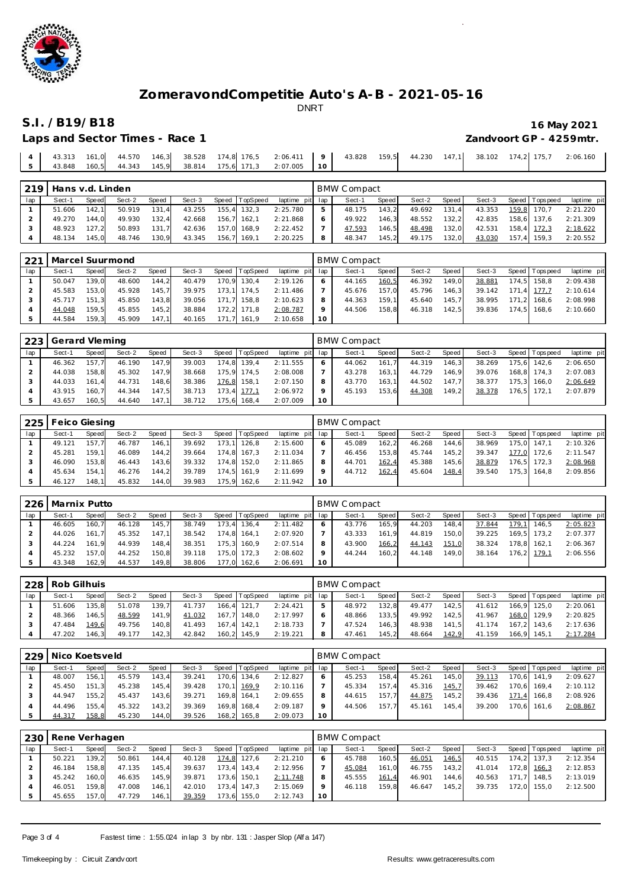

# **S.I. /B19/B18 16 May 2021**

| Laps and Sector Times - Race 1 | Zandvoort GP - 4259mtr. |
|--------------------------------|-------------------------|

|  |  |  | 4   43.313 161,0 44.570 146,3 38.528 174,8 176,5 2:06.411   9   43.828 159,5 44.230 147,1 38.102 174,2 175,7 2:06.160 |  |  |  |  |  |
|--|--|--|-----------------------------------------------------------------------------------------------------------------------|--|--|--|--|--|
|  |  |  | 5   43.848 160.5   44.343 145.9 38.814 175.6 171.3 2:07.005   10                                                      |  |  |  |  |  |

| 219 | Hans v.d. Linden |       |        |       |        |                |                 |     | <b>BMW Compact</b> |       |        |       |        |                 |             |
|-----|------------------|-------|--------|-------|--------|----------------|-----------------|-----|--------------------|-------|--------|-------|--------|-----------------|-------------|
| lap | Sect-1           | Speed | Sect-2 | Speed | Sect-3 | Speed TopSpeed | laptime pit lap |     | Sect-1             | Speed | Sect-2 | Speed | Sect-3 | Speed Tops peed | laptime pit |
|     | 51.606           | 142.1 | 50.919 | 131.4 | 43.255 | 155.4 132.3    | 2:25.780        | 5   | 48.175             | 143.2 | 49.692 | 131.4 | 43.353 | 159,8 170,7     | 2:21.220    |
|     | 49.270           | 144.0 | 49.930 | 132.4 | 42.668 | $156.7$ 162.1  | 2:21.868        | 6   | 49.922             | 146.3 | 48.552 | 132.2 | 42.835 | 158.6 137.6     | 2:21.309    |
|     | 48.923           | 127.2 | 50.893 | 131.7 | 42.636 | 157.0 168.9    | 2:22.452        |     | 47.593             | 146.5 | 48.498 | 132,0 | 42.531 | 158.4 172.3     | 2:18.622    |
|     | 48.134           | 145,0 | 48.746 | 130,9 | 43.345 | 156,7 169,1    | 2:20.225        | - 8 | 48.347             | 145,2 | 49.175 | 132,0 | 43.030 | $157,4$ 159,3   | 2:20.552    |

| 221 | Marcel Suurmond |       |        |       |        |       |                |                 |         | BMW Compact |       |        |       |        |                |             |
|-----|-----------------|-------|--------|-------|--------|-------|----------------|-----------------|---------|-------------|-------|--------|-------|--------|----------------|-------------|
| lap | Sect-1          | Speed | Sect-2 | Speed | Sect-3 |       | Speed TopSpeed | laptime pit lap |         | Sect-1      | Speed | Sect-2 | Speed | Sect-3 | Speed Topspeed | laptime pit |
|     | 50.047          | 139.0 | 48.600 | 144.2 | 40.479 | 170.9 | 130.4          | 2:19.126        | $\circ$ | 44.165      | 160,5 | 46.392 | 149.0 | 38.881 | 174.5 158.8    | 2:09.438    |
|     | 45.583          | 153.0 | 45.928 | 145.7 | 39.975 |       | 173.1 174.5    | 2:11.486        |         | 45.676      | 157.0 | 45.796 | 146.3 | 39.142 | 171.4 177.7    | 2:10.614    |
|     | 45.717          | 151.3 | 45.850 | 143.8 | 39.056 | 171.7 | 158.8          | 2:10.623        | 8       | 44.363      | 159.1 | 45.640 | 145.7 | 38.995 | 171.2 168.6    | 2:08.998    |
|     | 44.048          | 159.5 | 45.855 | 145.2 | 38.884 | 172.2 | 171.8          | 2:08.787        | $\circ$ | 44.506      | 158.8 | 46.318 | 142.5 | 39.836 | 174.5 168.6    | 2:10.660    |
|     | 44.584          | 159.3 | 45.909 | 147.1 | 40.165 | 171.7 | 161.9          | 2:10.658        | 10      |             |       |        |       |        |                |             |

| 223 | Gerard Vleming |       |        |       |        |       |             |                 |              | BMW Compact |       |        |         |        |                 |             |
|-----|----------------|-------|--------|-------|--------|-------|-------------|-----------------|--------------|-------------|-------|--------|---------|--------|-----------------|-------------|
| lap | Sect-1         | Speed | Sect-2 | Speed | Sect-3 | Speed | TopSpeed    | laptime pit lap |              | Sect-1      | Speed | Sect-2 | Speed I | Sect-3 | Speed Tops peed | laptime pit |
|     | 46.362         | 157.7 | 46.190 | 147.9 | 39.003 |       | 174.8 139.4 | 2:11.555        | <sup>6</sup> | 44.062      | 161.7 | 44.319 | 146.3   | 38.269 | 175.6 142.6     | 2:06.650    |
|     | 44.038         | 158.8 | 45.302 | 147.9 | 38.668 |       | 175.9 174.5 | 2:08.008        |              | 43.278      | 163.1 | 44.729 | 146.9   | 39.076 | 168.8 174.3     | 2:07.083    |
|     | 44.033         | 161.4 | 44.731 | 148.6 | 38.386 | 176,8 | 158.1       | 2:07.150        | 8            | 43.770      | 163.1 | 44.502 | 147.7   | 38.377 | 175.3 166.0     | 2:06.649    |
|     | 43.915         | 160.7 | 44.344 | 147.5 | 38.713 |       | 173.4 177.1 | 2:06.972        | $\circ$      | 45.193      | 153.6 | 44.308 | 149.2   | 38.378 | 176.5 172.1     | 2:07.879    |
|     | 43.657         | 160.5 | 44.640 | 147,1 | 38.712 | 175,6 | 168.4       | 2:07.009        | 10           |             |       |        |         |        |                 |             |

| 225 | Feico Giesing |        |        |       |        |       |          |                 |         | <b>BMW Compact</b> |        |        |       |        |       |                 |             |
|-----|---------------|--------|--------|-------|--------|-------|----------|-----------------|---------|--------------------|--------|--------|-------|--------|-------|-----------------|-------------|
| lap | Sect-1        | Speed  | Sect-2 | Speed | Sect-3 | Speed | TopSpeed | laptime pit lap |         | Sect-1             | Speed  | Sect-2 | Speed | Sect-3 |       | Speed Tops peed | laptime pit |
|     | 49.121        | 157.7  | 46.787 | 146.1 | 39.692 | 173.1 | 126.8    | 2:15.600        | 6       | 45.089             | 162, 2 | 46.268 | 144.6 | 38.969 |       | 175.0 147.1     | 2:10.326    |
|     | 45.281        | 159.11 | 46.089 | 144,2 | 39.664 | 174.8 | 167.3    | 2:11.034        |         | 46.456             | 153.8  | 45.744 | 145.2 | 39.347 | 177.0 | 172.6           | 2:11.547    |
|     | 46.090        | 153.8  | 46.443 | 143,6 | 39.332 | 174.8 | 152.0    | 2:11.865        | 8       | 44.701             | 162,4  | 45.388 | 145.6 | 38.879 |       | 176.5 172.3     | 2:08.968    |
|     | 45.634        | 154.1  | 46.276 | 144,2 | 39.789 | 174.5 | 161.9    | 2:11.699        | $\circ$ | 44.712             | 162,4  | 45.604 | 148,4 | 39.540 |       | 175.3 164.8     | 2:09.856    |
|     | 46.127        | 148.1  | 45.832 | 144.0 | 39.983 | 175.9 | 162.6    | 2:11.942        | 10      |                    |        |        |       |        |       |                 |             |

| 226 | Marnix Putto |       |        |       |        |       |          |                 |    | <b>BMW Compact</b> |         |        |       |        |       |                 |             |
|-----|--------------|-------|--------|-------|--------|-------|----------|-----------------|----|--------------------|---------|--------|-------|--------|-------|-----------------|-------------|
| lap | Sect-1       | Speed | Sect-2 | Speed | Sect-3 | Speed | TopSpeed | laptime pit lap |    | Sect-1             | Speed I | Sect-2 | Speed | Sect-3 |       | Speed Tops peed | laptime pit |
|     | 46.605       | 160.7 | 46.128 | 145.7 | 38.749 | 173.4 | 136.4    | 2:11.482        | 6  | 43.776             | 165.9   | 44.203 | 148.4 | 37.844 | 179,1 | 146.5           | 2:05.823    |
|     | 44.026       | 161.7 | 45.352 | 147.1 | 38.542 | 174.8 | 164.1    | 2:07.920        |    | 43.333             | 161.9   | 44.819 | 150.0 | 39.225 |       | 169.5 173.2     | 2:07.377    |
|     | 44.224       | 161.9 | 44.939 | 148.4 | 38.351 | 175.3 | 160.9    | 2:07.514        | 8  | 43.900             | 166,2   | 44.143 | 151,0 | 38.324 |       | 178.8 162.1     | 2:06.367    |
|     | 45.232       | 157.0 | 44.252 | 150.8 | 39.118 | 175.0 | 172.3    | 2:08.602        |    | 44.244             | 160,2   | 44.148 | 149.0 | 38.164 |       | 176.2 179.1     | 2:06.556    |
|     | 43.348       | 162.9 | 44.537 | 149.8 | 38.806 | 177.0 | 162.6    | 2:06.691        | 10 |                    |         |        |       |        |       |                 |             |

|     | 228 Rob Gilhuis |       |        |       |        |       |                |                 | <b>BMW Compact</b> |       |        |       |        |             |                 |             |
|-----|-----------------|-------|--------|-------|--------|-------|----------------|-----------------|--------------------|-------|--------|-------|--------|-------------|-----------------|-------------|
| lap | Sect-1          | Speed | Sect-2 | Speed | Sect-3 |       | Speed TopSpeed | laptime pit lap | Sect-1             | Speed | Sect-2 | Speed | Sect-3 |             | Speed Tops peed | laptime pit |
|     | 51.606          | 135.8 | 51.078 | 139.7 | 41.737 | 166.4 | 121.7          | 2:24.421        | 48.972             | 132.8 | 49.477 | 142.5 | 41.612 |             | 166.9 125.0     | 2:20.061    |
|     | 48.366          | 146.5 | 48.599 | 141.9 | 41.032 | 167.7 | 148.0          | 2:17.997        | 48.866             | 133.5 | 49.992 | 142.5 | 41.967 |             | 168,0 129,9     | 2:20.825    |
|     | 47.484          | 149.6 | 49.756 | 140.8 | 41.493 | 167.4 | 142.1          | 2:18.733        | 47.524             | 146.3 | 48.938 | 141.5 | 41.174 |             | $167.2$ 143.6   | 2:17.636    |
|     | 47.202          | 146.3 | 49.177 | 142,3 | 42.842 |       | 160,2 145,9    | 2:19.221        | 47.461             | 145,2 | 48.664 | 142,9 | 41.159 | 166,9 145,1 |                 | 2:17.284    |

|     | 229   Nico Koetsveld |       |        |       |        |       |             |                 |    | <b>BMW Compact</b> |         |        |       |        |     |                 |             |
|-----|----------------------|-------|--------|-------|--------|-------|-------------|-----------------|----|--------------------|---------|--------|-------|--------|-----|-----------------|-------------|
| lap | Sect-1               | Speed | Sect-2 | Speed | Sect-3 | Speed | TopSpeed    | laptime pit lap |    | Sect-1             | Speed I | Sect-2 | Speed | Sect-3 |     | Speed Tops peed | laptime pit |
|     | 48.007               | 156.1 | 45.579 | 143.4 | 39.241 | 170.6 | 134.6       | 2:12.827        |    | 45.253             | 158.4   | 45.261 | 145.0 | 39.113 |     | 170.6 141.9     | 2:09.627    |
|     | 45.450               | 151.3 | 45.238 | 145.4 | 39.428 | 170.1 | 169.9       | 2:10.116        |    | 45.334             | 157.4   | 45.316 | 145.7 | 39.462 |     | 170.6 169.4     | 2:10.112    |
|     | 44.947               | 155.2 | 45.437 | 143.6 | 39.271 |       | 169.8 164.1 | 2:09.655        |    | 44.615             | 157.7   | 44.875 | 145.2 | 39.436 | 171 | 166.8           | 2:08.926    |
|     | 44.496               | 155.4 | 45.322 | 143.2 | 39.369 | 169.8 | 168.4       | 2:09.187        |    | 44.506             | 157.7   | 45.161 | 145.4 | 39.200 |     | 170.6 161.6     | 2:08.867    |
|     | 44.317               | 158,8 | 45.230 | 144,0 | 39.526 | 168,2 | 165.8       | 2:09.073        | 10 |                    |         |        |       |        |     |                 |             |

| 230 | Rene Verhagen |       |        |       |        |       |                |                 |         | <b>BMW Compact</b> |       |        |       |        |                |             |
|-----|---------------|-------|--------|-------|--------|-------|----------------|-----------------|---------|--------------------|-------|--------|-------|--------|----------------|-------------|
| lap | Sect-1        | Speed | Sect-2 | Speed | Sect-3 |       | Speed TopSpeed | laptime pit lap |         | Sect-1             | Speed | Sect-2 | Speed | Sect-3 | Speed Topspeed | laptime pit |
|     | 50.221        | 139.2 | 50.861 | 144.4 | 40.128 |       | 174,8 127,6    | 2:21.210        | $\circ$ | 45.788             | 160,5 | 46.051 | 146,5 | 40.515 | 174.2 137.3    | 2:12.354    |
|     | 46.184        | 158.8 | 47.135 | 145.4 | 39.637 |       | 173.4 143.4    | 2:12.956        |         | 45.084             | 161.0 | 46.755 | 143,2 | 41.014 | 172,8 166,3    | 2:12.853    |
|     | 45.242        | 160.0 | 46.635 | 145.9 | 39.871 | 173.6 | 150.1          | 2:11.748        | 8       | 45.555             | 161,4 | 46.901 | 144.6 | 40.563 | 171.7 148.5    | 2:13.019    |
|     | 46.051        | 159.8 | 47.008 | 146,1 | 42.010 | 173.4 | 147.3          | 2:15.069        | 9       | 46.118             | 159.8 | 46.647 | 145.2 | 39.735 | 172.0 155.0    | 2:12.500    |
|     | 45.655        | 157.0 | 47.729 | 146,1 | 39.359 | 173,6 | 155,0          | 2:12.743        | 10      |                    |       |        |       |        |                |             |